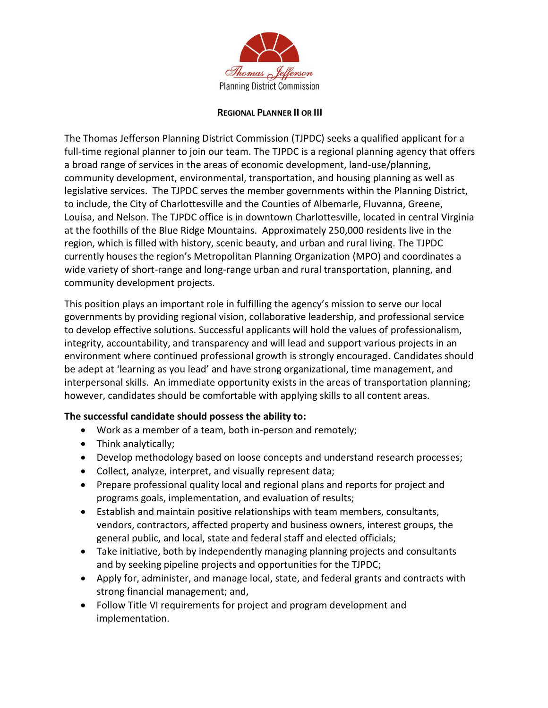

## **REGIONAL PLANNER II OR III**

The Thomas Jefferson Planning District Commission (TJPDC) seeks a qualified applicant for a full-time regional planner to join our team. The TJPDC is a regional planning agency that offers a broad range of services in the areas of economic development, land-use/planning, community development, environmental, transportation, and housing planning as well as legislative services. The TJPDC serves the member governments within the Planning District, to include, the City of Charlottesville and the Counties of Albemarle, Fluvanna, Greene, Louisa, and Nelson. The TJPDC office is in downtown Charlottesville, located in central Virginia at the foothills of the Blue Ridge Mountains. Approximately 250,000 residents live in the region, which is filled with history, scenic beauty, and urban and rural living. The TJPDC currently houses the region's Metropolitan Planning Organization (MPO) and coordinates a wide variety of short-range and long-range urban and rural transportation, planning, and community development projects.

This position plays an important role in fulfilling the agency's mission to serve our local governments by providing regional vision, collaborative leadership, and professional service to develop effective solutions. Successful applicants will hold the values of professionalism, integrity, accountability, and transparency and will lead and support various projects in an environment where continued professional growth is strongly encouraged. Candidates should be adept at 'learning as you lead' and have strong organizational, time management, and interpersonal skills. An immediate opportunity exists in the areas of transportation planning; however, candidates should be comfortable with applying skills to all content areas.

## **The successful candidate should possess the ability to:**

- Work as a member of a team, both in-person and remotely;
- Think analytically;
- Develop methodology based on loose concepts and understand research processes;
- Collect, analyze, interpret, and visually represent data;
- Prepare professional quality local and regional plans and reports for project and programs goals, implementation, and evaluation of results;
- Establish and maintain positive relationships with team members, consultants, vendors, contractors, affected property and business owners, interest groups, the general public, and local, state and federal staff and elected officials;
- Take initiative, both by independently managing planning projects and consultants and by seeking pipeline projects and opportunities for the TJPDC;
- Apply for, administer, and manage local, state, and federal grants and contracts with strong financial management; and,
- Follow Title VI requirements for project and program development and implementation.